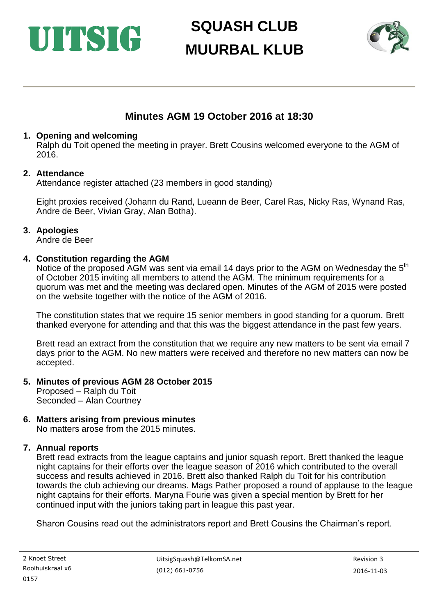# UITSIG

# **SQUASH CLUB MUURBAL KLUB**



# **Minutes AGM 19 October 2016 at 18:30**

#### **1. Opening and welcoming**

Ralph du Toit opened the meeting in prayer. Brett Cousins welcomed everyone to the AGM of 2016.

#### **2. Attendance**

Attendance register attached (23 members in good standing)

Eight proxies received (Johann du Rand, Lueann de Beer, Carel Ras, Nicky Ras, Wynand Ras, Andre de Beer, Vivian Gray, Alan Botha).

### **3. Apologies**

Andre de Beer

### **4. Constitution regarding the AGM**

Notice of the proposed AGM was sent via email 14 days prior to the AGM on Wednesday the 5<sup>th</sup> of October 2015 inviting all members to attend the AGM. The minimum requirements for a quorum was met and the meeting was declared open. Minutes of the AGM of 2015 were posted on the website together with the notice of the AGM of 2016.

The constitution states that we require 15 senior members in good standing for a quorum. Brett thanked everyone for attending and that this was the biggest attendance in the past few years.

Brett read an extract from the constitution that we require any new matters to be sent via email 7 days prior to the AGM. No new matters were received and therefore no new matters can now be accepted.

#### **5. Minutes of previous AGM 28 October 2015**

Proposed – Ralph du Toit Seconded – Alan Courtney

#### **6. Matters arising from previous minutes**

No matters arose from the 2015 minutes.

#### **7. Annual reports**

Brett read extracts from the league captains and junior squash report. Brett thanked the league night captains for their efforts over the league season of 2016 which contributed to the overall success and results achieved in 2016. Brett also thanked Ralph du Toit for his contribution towards the club achieving our dreams. Mags Pather proposed a round of applause to the league night captains for their efforts. Maryna Fourie was given a special mention by Brett for her continued input with the juniors taking part in league this past year.

Sharon Cousins read out the administrators report and Brett Cousins the Chairman's report.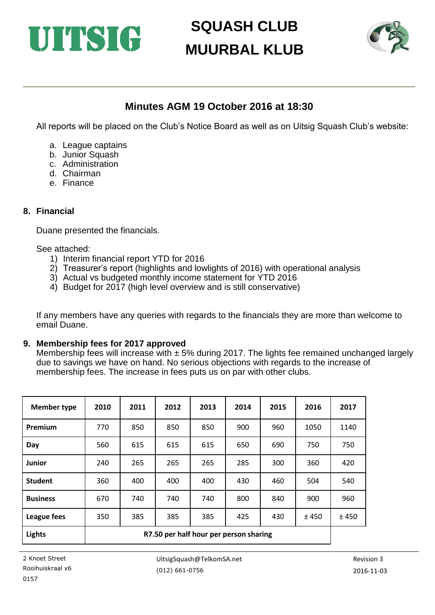



### **Minutes AGM 19 October 2016 at 18:30**

All reports will be placed on the Club's Notice Board as well as on Uitsig Squash Club's website:

- a. League captains
- b. Junior Squash
- c. Administration
- d. Chairman
- e. Finance

#### **8. Financial**

Duane presented the financials.

#### See attached:

- 1) Interim financial report YTD for 2016
- 2) Treasurer's report (highlights and lowlights of 2016) with operational analysis
- 3) Actual vs budgeted monthly income statement for YTD 2016
- 4) Budget for 2017 (high level overview and is still conservative)

If any members have any queries with regards to the financials they are more than welcome to email Duane.

#### **9. Membership fees for 2017 approved**

Membership fees will increase with  $\pm$  5% during 2017. The lights fee remained unchanged largely due to savings we have on hand. No serious objections with regards to the increase of membership fees. The increase in fees puts us on par with other clubs.

| <b>Member type</b> | 2010                                   | 2011 | 2012 | 2013 | 2014 | 2015 | 2016 | 2017 |
|--------------------|----------------------------------------|------|------|------|------|------|------|------|
| Premium            | 770                                    | 850  | 850  | 850  | 900  | 960  | 1050 | 1140 |
| Day                | 560                                    | 615  | 615  | 615  | 650  | 690  | 750  | 750  |
| Junior             | 240                                    | 265  | 265  | 265  | 285  | 300  | 360  | 420  |
| <b>Student</b>     | 360                                    | 400  | 400  | 400  | 430  | 460  | 504  | 540  |
| <b>Business</b>    | 670                                    | 740  | 740  | 740  | 800  | 840  | 900  | 960  |
| League fees        | 350                                    | 385  | 385  | 385  | 425  | 430  | ±450 | ±450 |
| <b>Lights</b>      | R7.50 per half hour per person sharing |      |      |      |      |      |      |      |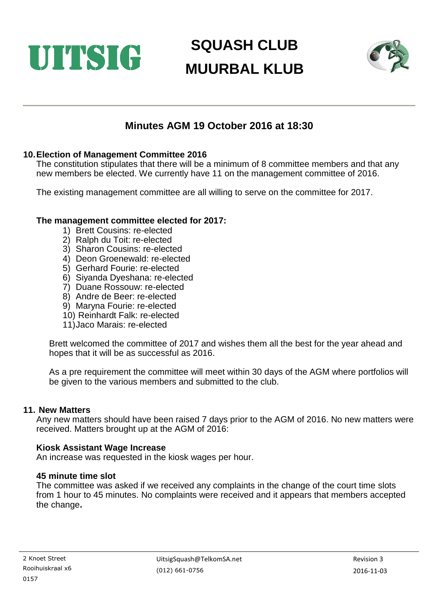



### **Minutes AGM 19 October 2016 at 18:30**

#### **10.Election of Management Committee 2016**

The constitution stipulates that there will be a minimum of 8 committee members and that any new members be elected. We currently have 11 on the management committee of 2016.

The existing management committee are all willing to serve on the committee for 2017.

#### **The management committee elected for 2017:**

- 1) Brett Cousins: re-elected
- 2) Ralph du Toit: re-elected
- 3) Sharon Cousins: re-elected
- 4) Deon Groenewald: re-elected
- 5) Gerhard Fourie: re-elected
- 6) Siyanda Dyeshana: re-elected
- 7) Duane Rossouw: re-elected
- 8) Andre de Beer: re-elected
- 9) Maryna Fourie: re-elected
- 10) Reinhardt Falk: re-elected
- 11)Jaco Marais: re-elected

Brett welcomed the committee of 2017 and wishes them all the best for the year ahead and hopes that it will be as successful as 2016.

As a pre requirement the committee will meet within 30 days of the AGM where portfolios will be given to the various members and submitted to the club.

#### **11. New Matters**

Any new matters should have been raised 7 days prior to the AGM of 2016. No new matters were received. Matters brought up at the AGM of 2016:

#### **Kiosk Assistant Wage Increase**

An increase was requested in the kiosk wages per hour.

#### **45 minute time slot**

The committee was asked if we received any complaints in the change of the court time slots from 1 hour to 45 minutes. No complaints were received and it appears that members accepted the change**.**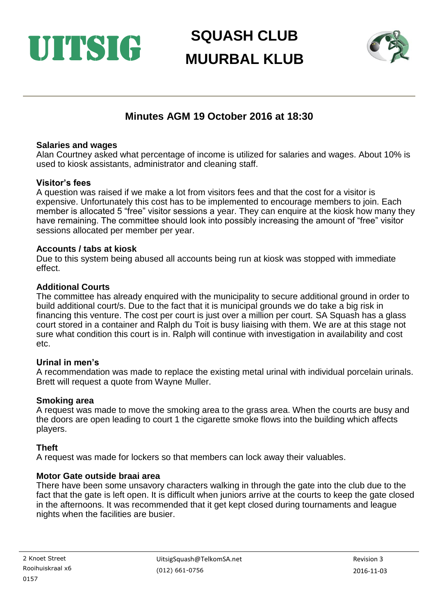



### **Minutes AGM 19 October 2016 at 18:30**

#### **Salaries and wages**

Alan Courtney asked what percentage of income is utilized for salaries and wages. About 10% is used to kiosk assistants, administrator and cleaning staff.

#### **Visitor's fees**

A question was raised if we make a lot from visitors fees and that the cost for a visitor is expensive. Unfortunately this cost has to be implemented to encourage members to join. Each member is allocated 5 "free" visitor sessions a year. They can enquire at the kiosk how many they have remaining. The committee should look into possibly increasing the amount of "free" visitor sessions allocated per member per year.

#### **Accounts / tabs at kiosk**

Due to this system being abused all accounts being run at kiosk was stopped with immediate effect.

#### **Additional Courts**

The committee has already enquired with the municipality to secure additional ground in order to build additional court/s. Due to the fact that it is municipal grounds we do take a big risk in financing this venture. The cost per court is just over a million per court. SA Squash has a glass court stored in a container and Ralph du Toit is busy liaising with them. We are at this stage not sure what condition this court is in. Ralph will continue with investigation in availability and cost etc.

#### **Urinal in men's**

A recommendation was made to replace the existing metal urinal with individual porcelain urinals. Brett will request a quote from Wayne Muller.

#### **Smoking area**

A request was made to move the smoking area to the grass area. When the courts are busy and the doors are open leading to court 1 the cigarette smoke flows into the building which affects players.

#### **Theft**

A request was made for lockers so that members can lock away their valuables.

#### **Motor Gate outside braai area**

There have been some unsavory characters walking in through the gate into the club due to the fact that the gate is left open. It is difficult when juniors arrive at the courts to keep the gate closed in the afternoons. It was recommended that it get kept closed during tournaments and league nights when the facilities are busier.